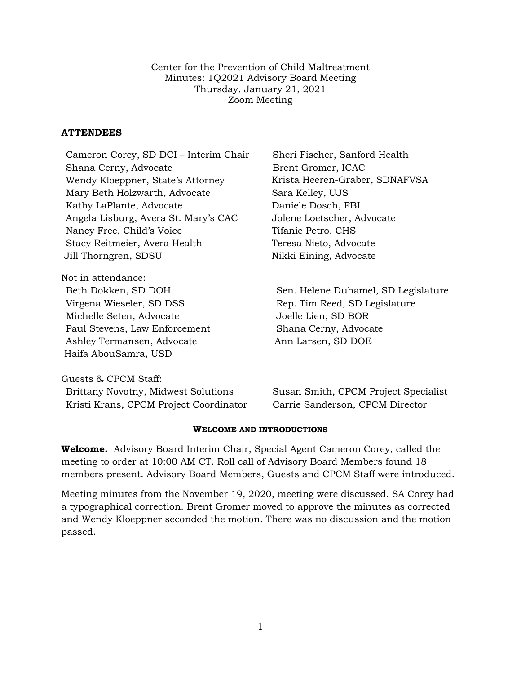Center for the Prevention of Child Maltreatment Minutes: 1Q2021 Advisory Board Meeting Thursday, January 21, 2021 Zoom Meeting

#### **ATTENDEES**

Jill Thorngren, SDSU Nikki Eining, Advocate Cameron Corey, SD DCI – Interim Chair Sheri Fischer, Sanford Health Shana Cerny, Advocate Brent Gromer, ICAC Wendy Kloeppner, State's Attorney Krista Heeren-Graber, SDNAFVSA Mary Beth Holzwarth, Advocate Sara Kelley, UJS Kathy LaPlante, Advocate Daniele Dosch, FBI Angela Lisburg, Avera St. Mary's CAC Jolene Loetscher, Advocate Nancy Free, Child's Voice Tifanie Petro, CHS Stacy Reitmeier, Avera Health Teresa Nieto, Advocate

Not in attendance: Beth Dokken, SD DOH Sen. Helene Duhamel, SD Legislature Virgena Wieseler, SD DSS Rep. Tim Reed, SD Legislature Michelle Seten, Advocate Joelle Lien, SD BOR Paul Stevens, Law Enforcement Shana Cerny, Advocate Ashley Termansen, Advocate Ann Larsen, SD DOE Haifa AbouSamra, USD

Guests & CPCM Staff: Brittany Novotny, Midwest Solutions Susan Smith, CPCM Project Specialist Kristi Krans, CPCM Project Coordinator Carrie Sanderson, CPCM Director

#### **WELCOME AND INTRODUCTIONS**

**Welcome.** Advisory Board Interim Chair, Special Agent Cameron Corey, called the meeting to order at 10:00 AM CT. Roll call of Advisory Board Members found 18 members present. Advisory Board Members, Guests and CPCM Staff were introduced.

Meeting minutes from the November 19, 2020, meeting were discussed. SA Corey had a typographical correction. Brent Gromer moved to approve the minutes as corrected and Wendy Kloeppner seconded the motion. There was no discussion and the motion passed.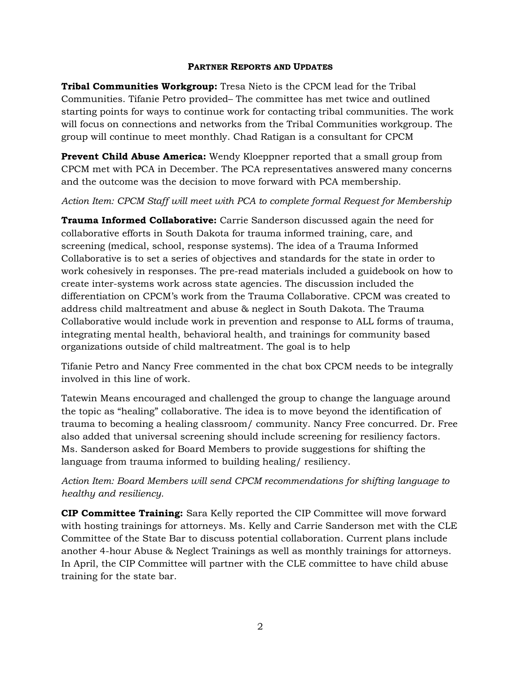#### **PARTNER REPORTS AND UPDATES**

**Tribal Communities Workgroup:** Tresa Nieto is the CPCM lead for the Tribal Communities. Tifanie Petro provided– The committee has met twice and outlined starting points for ways to continue work for contacting tribal communities. The work will focus on connections and networks from the Tribal Communities workgroup. The group will continue to meet monthly. Chad Ratigan is a consultant for CPCM

**Prevent Child Abuse America:** Wendy Kloeppner reported that a small group from CPCM met with PCA in December. The PCA representatives answered many concerns and the outcome was the decision to move forward with PCA membership.

## *Action Item: CPCM Staff will meet with PCA to complete formal Request for Membership*

**Trauma Informed Collaborative:** Carrie Sanderson discussed again the need for collaborative efforts in South Dakota for trauma informed training, care, and screening (medical, school, response systems). The idea of a Trauma Informed Collaborative is to set a series of objectives and standards for the state in order to work cohesively in responses. The pre-read materials included a guidebook on how to create inter-systems work across state agencies. The discussion included the differentiation on CPCM's work from the Trauma Collaborative. CPCM was created to address child maltreatment and abuse & neglect in South Dakota. The Trauma Collaborative would include work in prevention and response to ALL forms of trauma, integrating mental health, behavioral health, and trainings for community based organizations outside of child maltreatment. The goal is to help

Tifanie Petro and Nancy Free commented in the chat box CPCM needs to be integrally involved in this line of work.

Tatewin Means encouraged and challenged the group to change the language around the topic as "healing" collaborative. The idea is to move beyond the identification of trauma to becoming a healing classroom/ community. Nancy Free concurred. Dr. Free also added that universal screening should include screening for resiliency factors. Ms. Sanderson asked for Board Members to provide suggestions for shifting the language from trauma informed to building healing/ resiliency.

# *Action Item: Board Members will send CPCM recommendations for shifting language to healthy and resiliency.*

**CIP Committee Training:** Sara Kelly reported the CIP Committee will move forward with hosting trainings for attorneys. Ms. Kelly and Carrie Sanderson met with the CLE Committee of the State Bar to discuss potential collaboration. Current plans include another 4-hour Abuse & Neglect Trainings as well as monthly trainings for attorneys. In April, the CIP Committee will partner with the CLE committee to have child abuse training for the state bar.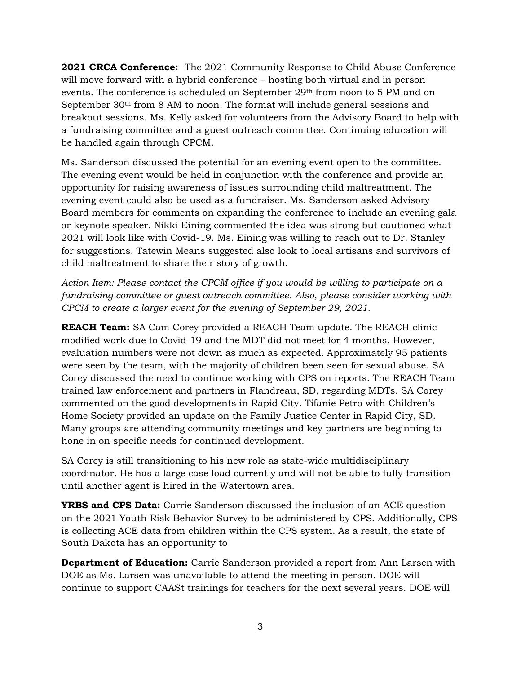**2021 CRCA Conference:** The 2021 Community Response to Child Abuse Conference will move forward with a hybrid conference – hosting both virtual and in person events. The conference is scheduled on September 29th from noon to 5 PM and on September 30th from 8 AM to noon. The format will include general sessions and breakout sessions. Ms. Kelly asked for volunteers from the Advisory Board to help with a fundraising committee and a guest outreach committee. Continuing education will be handled again through CPCM.

Ms. Sanderson discussed the potential for an evening event open to the committee. The evening event would be held in conjunction with the conference and provide an opportunity for raising awareness of issues surrounding child maltreatment. The evening event could also be used as a fundraiser. Ms. Sanderson asked Advisory Board members for comments on expanding the conference to include an evening gala or keynote speaker. Nikki Eining commented the idea was strong but cautioned what 2021 will look like with Covid-19. Ms. Eining was willing to reach out to Dr. Stanley for suggestions. Tatewin Means suggested also look to local artisans and survivors of child maltreatment to share their story of growth.

*Action Item: Please contact the CPCM office if you would be willing to participate on a fundraising committee or guest outreach committee. Also, please consider working with CPCM to create a larger event for the evening of September 29, 2021.* 

**REACH Team:** SA Cam Corey provided a REACH Team update. The REACH clinic modified work due to Covid-19 and the MDT did not meet for 4 months. However, evaluation numbers were not down as much as expected. Approximately 95 patients were seen by the team, with the majority of children been seen for sexual abuse. SA Corey discussed the need to continue working with CPS on reports. The REACH Team trained law enforcement and partners in Flandreau, SD, regarding MDTs. SA Corey commented on the good developments in Rapid City. Tifanie Petro with Children's Home Society provided an update on the Family Justice Center in Rapid City, SD. Many groups are attending community meetings and key partners are beginning to hone in on specific needs for continued development.

SA Corey is still transitioning to his new role as state-wide multidisciplinary coordinator. He has a large case load currently and will not be able to fully transition until another agent is hired in the Watertown area.

**YRBS and CPS Data:** Carrie Sanderson discussed the inclusion of an ACE question on the 2021 Youth Risk Behavior Survey to be administered by CPS. Additionally, CPS is collecting ACE data from children within the CPS system. As a result, the state of South Dakota has an opportunity to

**Department of Education:** Carrie Sanderson provided a report from Ann Larsen with DOE as Ms. Larsen was unavailable to attend the meeting in person. DOE will continue to support CAASt trainings for teachers for the next several years. DOE will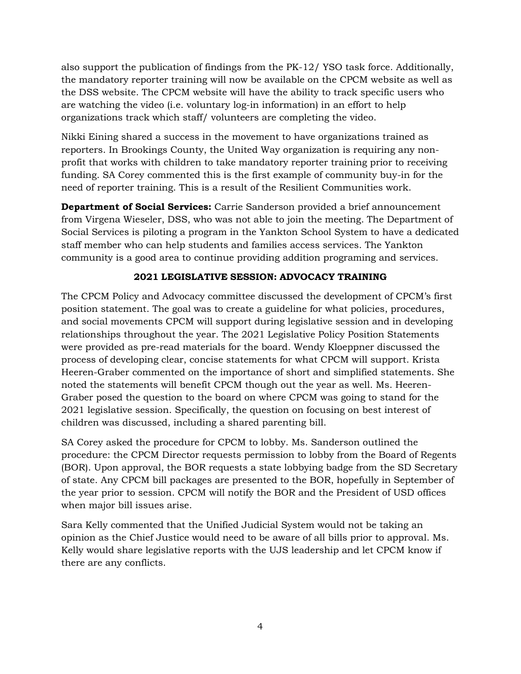also support the publication of findings from the PK-12/ YSO task force. Additionally, the mandatory reporter training will now be available on the CPCM website as well as the DSS website. The CPCM website will have the ability to track specific users who are watching the video (i.e. voluntary log-in information) in an effort to help organizations track which staff/ volunteers are completing the video.

Nikki Eining shared a success in the movement to have organizations trained as reporters. In Brookings County, the United Way organization is requiring any nonprofit that works with children to take mandatory reporter training prior to receiving funding. SA Corey commented this is the first example of community buy-in for the need of reporter training. This is a result of the Resilient Communities work.

**Department of Social Services:** Carrie Sanderson provided a brief announcement from Virgena Wieseler, DSS, who was not able to join the meeting. The Department of Social Services is piloting a program in the Yankton School System to have a dedicated staff member who can help students and families access services. The Yankton community is a good area to continue providing addition programing and services.

# **2021 LEGISLATIVE SESSION: ADVOCACY TRAINING**

The CPCM Policy and Advocacy committee discussed the development of CPCM's first position statement. The goal was to create a guideline for what policies, procedures, and social movements CPCM will support during legislative session and in developing relationships throughout the year. The 2021 Legislative Policy Position Statements were provided as pre-read materials for the board. Wendy Kloeppner discussed the process of developing clear, concise statements for what CPCM will support. Krista Heeren-Graber commented on the importance of short and simplified statements. She noted the statements will benefit CPCM though out the year as well. Ms. Heeren-Graber posed the question to the board on where CPCM was going to stand for the 2021 legislative session. Specifically, the question on focusing on best interest of children was discussed, including a shared parenting bill.

SA Corey asked the procedure for CPCM to lobby. Ms. Sanderson outlined the procedure: the CPCM Director requests permission to lobby from the Board of Regents (BOR). Upon approval, the BOR requests a state lobbying badge from the SD Secretary of state. Any CPCM bill packages are presented to the BOR, hopefully in September of the year prior to session. CPCM will notify the BOR and the President of USD offices when major bill issues arise.

Sara Kelly commented that the Unified Judicial System would not be taking an opinion as the Chief Justice would need to be aware of all bills prior to approval. Ms. Kelly would share legislative reports with the UJS leadership and let CPCM know if there are any conflicts.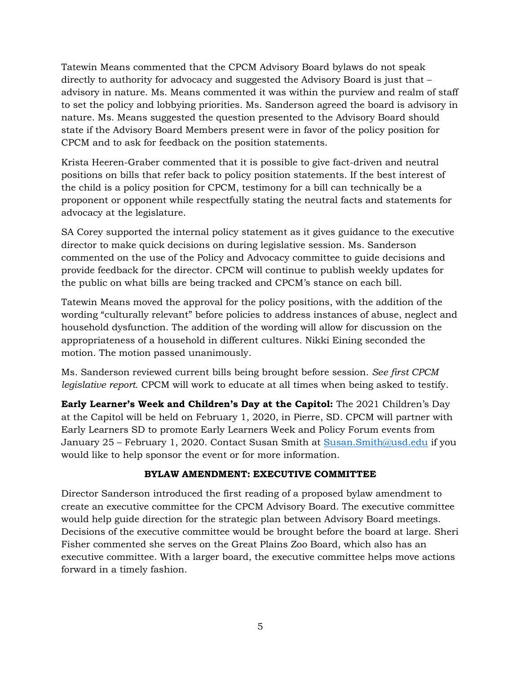Tatewin Means commented that the CPCM Advisory Board bylaws do not speak directly to authority for advocacy and suggested the Advisory Board is just that – advisory in nature. Ms. Means commented it was within the purview and realm of staff to set the policy and lobbying priorities. Ms. Sanderson agreed the board is advisory in nature. Ms. Means suggested the question presented to the Advisory Board should state if the Advisory Board Members present were in favor of the policy position for CPCM and to ask for feedback on the position statements.

Krista Heeren-Graber commented that it is possible to give fact-driven and neutral positions on bills that refer back to policy position statements. If the best interest of the child is a policy position for CPCM, testimony for a bill can technically be a proponent or opponent while respectfully stating the neutral facts and statements for advocacy at the legislature.

SA Corey supported the internal policy statement as it gives guidance to the executive director to make quick decisions on during legislative session. Ms. Sanderson commented on the use of the Policy and Advocacy committee to guide decisions and provide feedback for the director. CPCM will continue to publish weekly updates for the public on what bills are being tracked and CPCM's stance on each bill.

Tatewin Means moved the approval for the policy positions, with the addition of the wording "culturally relevant" before policies to address instances of abuse, neglect and household dysfunction. The addition of the wording will allow for discussion on the appropriateness of a household in different cultures. Nikki Eining seconded the motion. The motion passed unanimously.

Ms. Sanderson reviewed current bills being brought before session. *See first CPCM legislative report*. CPCM will work to educate at all times when being asked to testify.

**Early Learner's Week and Children's Day at the Capitol:** The 2021 Children's Day at the Capitol will be held on February 1, 2020, in Pierre, SD. CPCM will partner with Early Learners SD to promote Early Learners Week and Policy Forum events from January 25 – February 1, 2020. Contact Susan Smith at [Susan.Smith@usd.edu](mailto:Susan.Smith@usd.edu) if you would like to help sponsor the event or for more information.

## **BYLAW AMENDMENT: EXECUTIVE COMMITTEE**

Director Sanderson introduced the first reading of a proposed bylaw amendment to create an executive committee for the CPCM Advisory Board. The executive committee would help guide direction for the strategic plan between Advisory Board meetings. Decisions of the executive committee would be brought before the board at large. Sheri Fisher commented she serves on the Great Plains Zoo Board, which also has an executive committee. With a larger board, the executive committee helps move actions forward in a timely fashion.